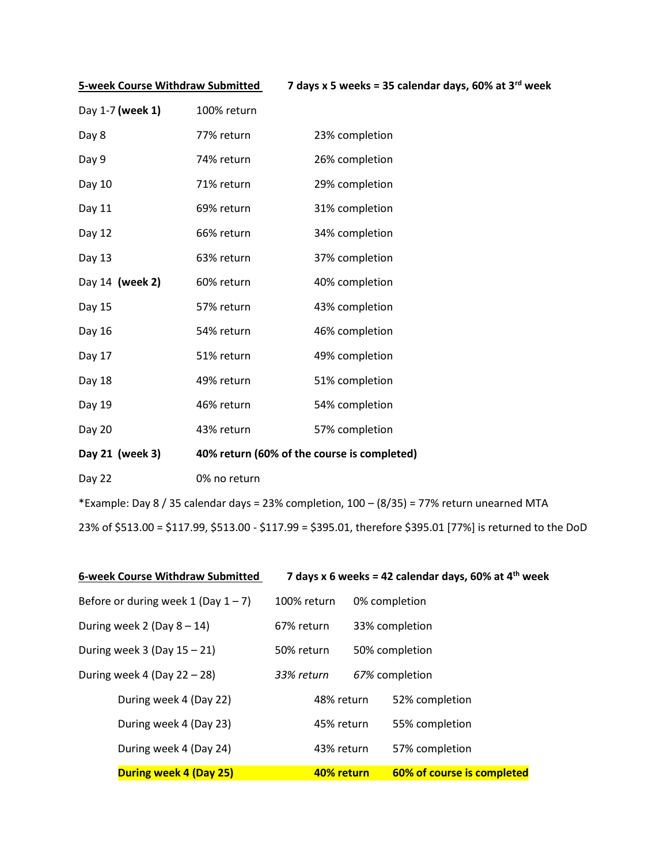**5-week Course Withdraw Submitted 7 days x 5 weeks = 35 calendar days, 60% at 3rd week**

| Day 1-7 (week 1) | 100% return |                |
|------------------|-------------|----------------|
| Day 8            | 77% return  | 23% completion |
| Day 9            | 74% return  | 26% completion |
| Day 10           | 71% return  | 29% completion |
| Day 11           | 69% return  | 31% completion |
| Day 12           | 66% return  | 34% completion |
| Day 13           | 63% return  | 37% completion |
|                  |             |                |
| Day 14 (week 2)  | 60% return  | 40% completion |
| Day 15           | 57% return  | 43% completion |
| Day 16           | 54% return  | 46% completion |
| Day 17           | 51% return  | 49% completion |
| Day 18           | 49% return  | 51% completion |
| Day 19           | 46% return  | 54% completion |

- **Day 21 (week 3) 40% return (60% of the course is completed)**
- Day 22 0% no return

\*Example: Day 8 / 35 calendar days = 23% completion, 100 – (8/35) = 77% return unearned MTA 23% of \$513.00 = \$117.99, \$513.00 - \$117.99 = \$395.01, therefore \$395.01 [77%] is returned to the DoD

| 6-week Course Withdraw Submitted       |             | 7 days x 6 weeks = 42 calendar days, 60% at $4th$ week |
|----------------------------------------|-------------|--------------------------------------------------------|
| Before or during week 1 (Day $1 - 7$ ) | 100% return | 0% completion                                          |
| During week 2 (Day $8-14$ )            | 67% return  | 33% completion                                         |
| During week $3$ (Day $15 - 21$ )       | 50% return  | 50% completion                                         |
| During week 4 (Day $22 - 28$ )         | 33% return  | 67% completion                                         |
| During week 4 (Day 22)                 | 48% return  | 52% completion                                         |
| During week 4 (Day 23)                 | 45% return  | 55% completion                                         |
| During week 4 (Day 24)                 | 43% return  | 57% completion                                         |
| During week 4 (Day 25)                 | 40% return  | 60% of course is completed                             |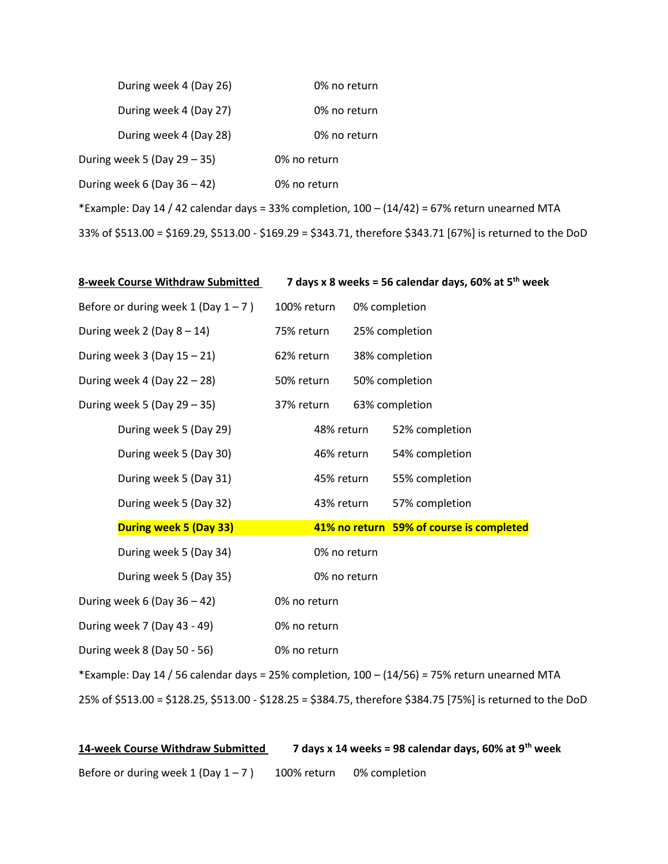| During week 4 (Day 26)                                                                                      | 0% no return |  |  |  |  |
|-------------------------------------------------------------------------------------------------------------|--------------|--|--|--|--|
| During week 4 (Day 27)                                                                                      | 0% no return |  |  |  |  |
| During week 4 (Day 28)                                                                                      | 0% no return |  |  |  |  |
| During week 5 (Day $29 - 35$ )                                                                              | 0% no return |  |  |  |  |
| During week 6 (Day $36 - 42$ )                                                                              | 0% no return |  |  |  |  |
| *Example: Day 14 / 42 calendar days = 33% completion, $100 - (14/42) = 67%$ return unearned MTA             |              |  |  |  |  |
| 33% of \$513.00 = \$169.29, \$513.00 - \$169.29 = \$343.71, therefore \$343.71 [67%] is returned to the DoD |              |  |  |  |  |

| 8-week Course Withdraw Submitted                                                              | 7 days x 8 weeks = 56 calendar days, 60% at $5th$ week |  |                                                                                                             |  |
|-----------------------------------------------------------------------------------------------|--------------------------------------------------------|--|-------------------------------------------------------------------------------------------------------------|--|
| Before or during week 1 (Day $1 - 7$ )                                                        | 100% return                                            |  | 0% completion                                                                                               |  |
| During week 2 (Day $8-14$ )                                                                   | 75% return                                             |  | 25% completion                                                                                              |  |
| During week $3$ (Day $15 - 21$ )                                                              | 62% return                                             |  | 38% completion                                                                                              |  |
| During week 4 (Day $22 - 28$ )                                                                | 50% return                                             |  | 50% completion                                                                                              |  |
| During week 5 (Day $29 - 35$ )                                                                | 37% return                                             |  | 63% completion                                                                                              |  |
| During week 5 (Day 29)                                                                        | 48% return                                             |  | 52% completion                                                                                              |  |
| During week 5 (Day 30)                                                                        | 46% return                                             |  | 54% completion                                                                                              |  |
| During week 5 (Day 31)                                                                        | 45% return                                             |  | 55% completion                                                                                              |  |
| During week 5 (Day 32)                                                                        | 43% return                                             |  | 57% completion                                                                                              |  |
| <b>During week 5 (Day 33)</b>                                                                 |                                                        |  | 41% no return 59% of course is completed                                                                    |  |
| During week 5 (Day 34)                                                                        | 0% no return                                           |  |                                                                                                             |  |
| During week 5 (Day 35)                                                                        | 0% no return                                           |  |                                                                                                             |  |
| During week 6 (Day $36 - 42$ )                                                                | 0% no return                                           |  |                                                                                                             |  |
| During week 7 (Day 43 - 49)                                                                   | 0% no return                                           |  |                                                                                                             |  |
| During week 8 (Day 50 - 56)                                                                   | 0% no return                                           |  |                                                                                                             |  |
| *Example: Day 14 / 56 calendar days = 25% completion, 100 - (14/56) = 75% return unearned MTA |                                                        |  |                                                                                                             |  |
|                                                                                               |                                                        |  | 25% of \$513.00 = \$128.25, \$513.00 - \$128.25 = \$384.75, therefore \$384.75 [75%] is returned to the DoD |  |

**14-week Course Withdraw Submitted 7 days x 14 weeks = 98 calendar days, 60% at 9th week** Before or during week  $1 (Day 1 – 7)$  100% return 0% completion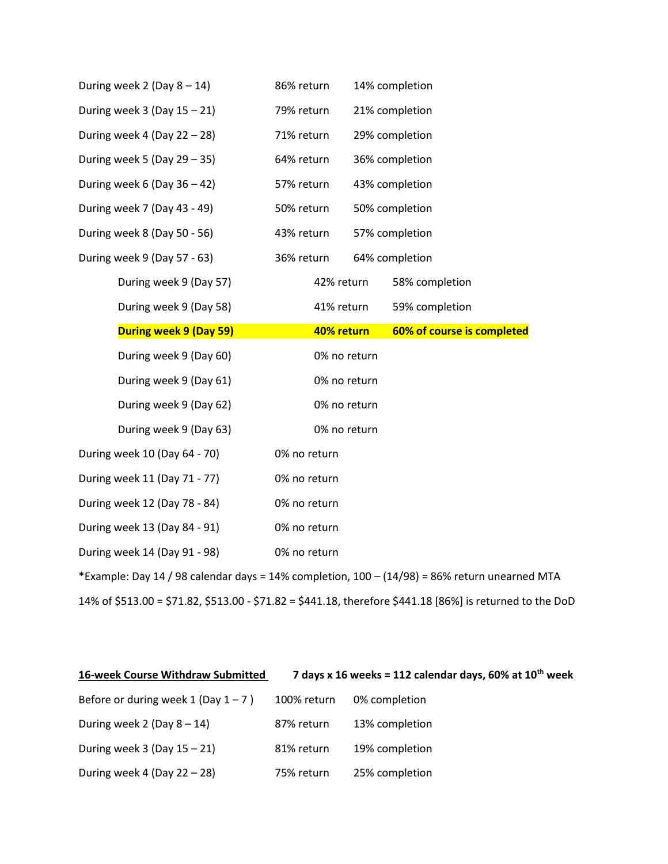| During week $2$ (Day $8 - 14$ )  | 86% return   | 14% completion                                                                                |
|----------------------------------|--------------|-----------------------------------------------------------------------------------------------|
| During week $3$ (Day $15 - 21$ ) | 79% return   | 21% completion                                                                                |
| During week 4 (Day $22 - 28$ )   | 71% return   | 29% completion                                                                                |
| During week 5 (Day $29 - 35$ )   | 64% return   | 36% completion                                                                                |
| During week 6 (Day $36 - 42$ )   | 57% return   | 43% completion                                                                                |
| During week 7 (Day 43 - 49)      | 50% return   | 50% completion                                                                                |
| During week 8 (Day 50 - 56)      | 43% return   | 57% completion                                                                                |
| During week 9 (Day 57 - 63)      | 36% return   | 64% completion                                                                                |
| During week 9 (Day 57)           | 42% return   | 58% completion                                                                                |
| During week 9 (Day 58)           | 41% return   | 59% completion                                                                                |
| During week 9 (Day 59)           | 40% return   | 60% of course is completed                                                                    |
|                                  |              |                                                                                               |
| During week 9 (Day 60)           | 0% no return |                                                                                               |
| During week 9 (Day 61)           | 0% no return |                                                                                               |
| During week 9 (Day 62)           | 0% no return |                                                                                               |
| During week 9 (Day 63)           | 0% no return |                                                                                               |
| During week 10 (Day 64 - 70)     | 0% no return |                                                                                               |
| During week 11 (Day 71 - 77)     | 0% no return |                                                                                               |
| During week 12 (Day 78 - 84)     | 0% no return |                                                                                               |
| During week 13 (Day 84 - 91)     | 0% no return |                                                                                               |
| During week 14 (Day 91 - 98)     | 0% no return |                                                                                               |
|                                  |              | *Example: Day 14 / 98 calendar days = 14% completion, 100 - (14/98) = 86% return unearned MTA |

| 16-week Course Withdraw Submitted        | 7 days x 16 weeks = 112 calendar days, 60% at $10^{th}$ week |                |  |  |
|------------------------------------------|--------------------------------------------------------------|----------------|--|--|
| Before or during week $1$ (Day $1 - 7$ ) | 100% return                                                  | 0% completion  |  |  |
| During week 2 (Day $8-14$ )              | 87% return                                                   | 13% completion |  |  |
| During week $3$ (Day $15 - 21$ )         | 81% return                                                   | 19% completion |  |  |
| During week 4 (Day $22 - 28$ )           | 75% return                                                   | 25% completion |  |  |